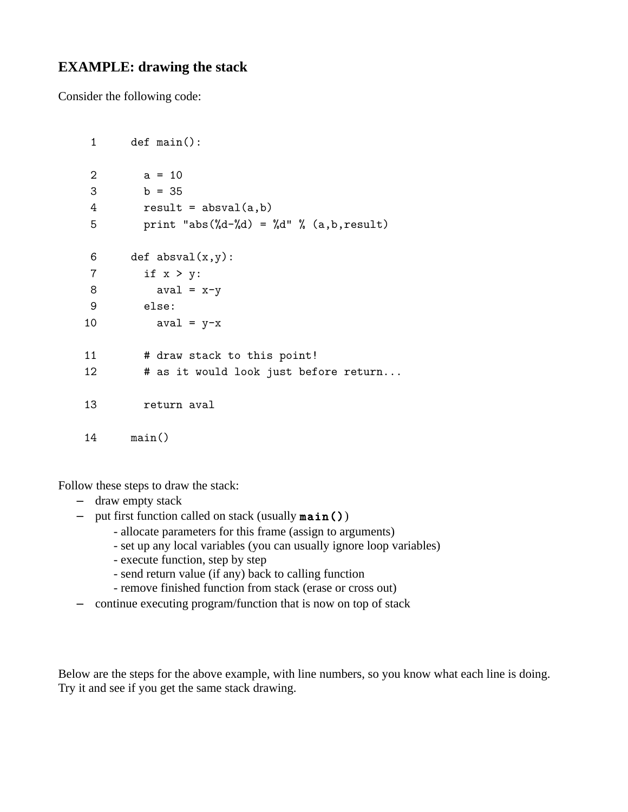## **EXAMPLE: drawing the stack**

Consider the following code:

```
 1 def main():
2 \t a = 103 \t b = 354 result = absval(a,b)5 print "abs(\%d-\%d) = \%d'" (a,b,result)
6 def absval(x,y):
 7 if x > y:
8 aval = x-y 9 else:
10 \text{aval} = \text{y-x}11 # draw stack to this point!
12 # as it would look just before return...
 13 return aval
 14 main()
```
Follow these steps to draw the stack:

- draw empty stack
- put first function called on stack (usually  $\texttt{main}()$ )
	- allocate parameters for this frame (assign to arguments)
	- set up any local variables (you can usually ignore loop variables)
	- execute function, step by step
	- send return value (if any) back to calling function
	- remove finished function from stack (erase or cross out)
- continue executing program/function that is now on top of stack

Below are the steps for the above example, with line numbers, so you know what each line is doing. Try it and see if you get the same stack drawing.